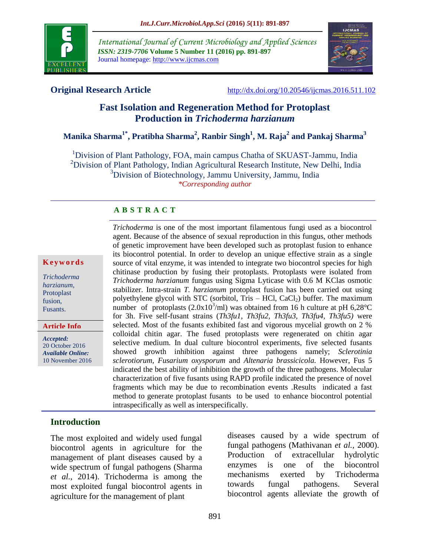

*International Journal of Current Microbiology and Applied Sciences ISSN: 2319-7706* **Volume 5 Number 11 (2016) pp. 891-897** Journal homepage: http://www.ijcmas.com



**Original Research Article** <http://dx.doi.org/10.20546/ijcmas.2016.511.102>

# **Fast Isolation and Regeneration Method for Protoplast Production in** *Trichoderma harzianum*

**Manika Sharma1\* , Pratibha Sharma<sup>2</sup> , Ranbir Singh<sup>1</sup> , M. Raja<sup>2</sup> and Pankaj Sharma<sup>3</sup>**

<sup>1</sup>Division of Plant Pathology, FOA, main campus Chatha of SKUAST-Jammu, India <sup>2</sup>Division of Plant Pathology, Indian Agricultural Research Institute, New Delhi, India <sup>3</sup>Division of Biotechnology, Jammu University, Jammu, India *\*Corresponding author*

#### **A B S T R A C T**

#### **K e y w o r d s**

*Trichoderma harzianum*, Protoplast fusion, Fusants.

**Article Info**

*Accepted:*  20 October 2016 *Available Online:* 10 November 2016

agent. Because of the absence of sexual reproduction in this fungus, other methods of genetic improvement have been developed such as protoplast fusion to enhance its biocontrol potential. In order to develop an unique effective strain as a single source of vital enzyme, it was intended to integrate two biocontrol species for high chitinase production by fusing their protoplasts. Protoplasts were isolated from *Trichoderma harzianum* fungus using Sigma Lyticase with 0.6 M KClas osmotic stabilizer. Intra-strain *T. harzianum* protoplast fusion has been carried out using polyethylene glycol with STC (sorbitol, Tris  $-$  HCl, CaCl<sub>2</sub>) buffer. The maximum number of protoplasts  $(2.0x10^3/\text{ml})$  was obtained from 16 h culture at pH 6,28°C for 3h. Five self-fusant strains (*Th3fu1*, *Th3fu2, Th3fu3, Th3fu4, Th3fu5)* were selected. Most of the fusants exhibited fast and vigorous mycelial growth on 2 % colloidal chitin agar. The fused protoplasts were regenerated on chitin agar selective medium. In dual culture biocontrol experiments, five selected fusants showed growth inhibition against three pathogens namely; *Sclerotinia sclerotiorum, Fusarium oxysporum* and *Altenaria brassicicola.* However, Fus 5 indicated the best ability of inhibition the growth of the three pathogens. Molecular characterization of five fusants using RAPD profile indicated the presence of novel fragments which may be due to recombination events .Results indicated a fast method to generate protoplast fusants to be used to enhance biocontrol potential intraspecifically as well as interspecifically.

*Trichoderma* is one of the most important filamentous fungi used as a biocontrol

#### **Introduction**

The most exploited and widely used fungal biocontrol agents in agriculture for the management of plant diseases caused by a wide spectrum of fungal pathogens (Sharma *et al.,* 2014). Trichoderma is among the most exploited fungal biocontrol agents in agriculture for the management of plant

diseases caused by a wide spectrum of fungal pathogens (Mathivanan *et al.,* 2000). Production of extracellular hydrolytic enzymes is one of the biocontrol mechanisms exerted by Trichoderma towards fungal pathogens. Several biocontrol agents alleviate the growth of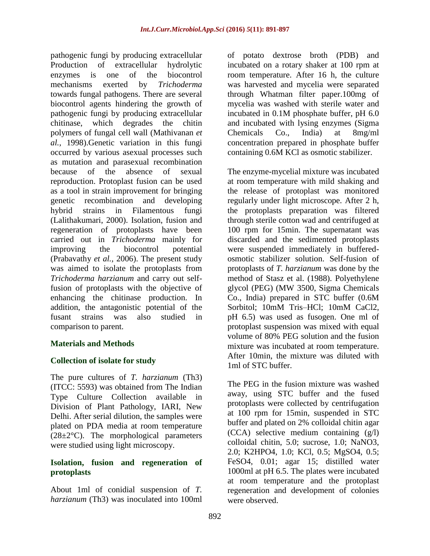pathogenic fungi by producing extracellular Production of extracellular hydrolytic enzymes is one of the biocontrol mechanisms exerted by *Trichoderma*  towards fungal pathogens. There are several biocontrol agents hindering the growth of pathogenic fungi by producing extracellular chitinase, which degrades the chitin polymers of fungal cell wall (Mathivanan *et al.,* 1998).Genetic variation in this fungi occurred by various asexual processes such as mutation and parasexual recombination because of the absence of sexual reproduction. Protoplast fusion can be used as a tool in strain improvement for bringing genetic recombination and developing hybrid strains in Filamentous fungi (Lalithakumari, 2000). Isolation, fusion and regeneration of protoplasts have been carried out in *Trichoderma* mainly for improving the biocontrol potential (Prabavathy *et al.,* 2006). The present study was aimed to isolate the protoplasts from *Trichoderma harzianum* and carry out selffusion of protoplasts with the objective of enhancing the chitinase production. In addition, the antagonistic potential of the fusant strains was also studied in comparison to parent.

## **Materials and Methods**

## **Collection of isolate for study**

The pure cultures of *T. harzianum* (Th3) (ITCC: 5593) was obtained from The Indian Type Culture Collection available in Division of Plant Pathology, IARI, New Delhi. After serial dilution, the samples were plated on PDA media at room temperature  $(28\pm2\degree C)$ . The morphological parameters were studied using light microscopy.

#### **Isolation, fusion and regeneration of protoplasts**

About 1ml of conidial suspension of *T. harzianum* (Th3) was inoculated into 100ml of potato dextrose broth (PDB) and incubated on a rotary shaker at 100 rpm at room temperature. After 16 h, the culture was harvested and mycelia were separated through Whatman filter paper.100mg of mycelia was washed with sterile water and incubated in 0.1M phosphate buffer, pH 6.0 and incubated with lysing enzymes (Sigma Chemicals Co., India) at 8mg/ml concentration prepared in phosphate buffer containing 0.6M KCl as osmotic stabilizer.

The enzyme-mycelial mixture was incubated at room temperature with mild shaking and the release of protoplast was monitored regularly under light microscope. After 2 h, the protoplasts preparation was filtered through sterile cotton wad and centrifuged at 100 rpm for 15min. The supernatant was discarded and the sedimented protoplasts were suspended immediately in bufferedosmotic stabilizer solution. Self-fusion of protoplasts of *T. harzianum* was done by the method of Stasz et al. (1988). Polyethylene glycol (PEG) (MW 3500, Sigma Chemicals Co., India) prepared in STC buffer (0.6M Sorbitol; 10mM Tris–HCl; 10mM CaCl2, pH 6.5) was used as fusogen. One ml of protoplast suspension was mixed with equal volume of 80% PEG solution and the fusion mixture was incubated at room temperature. After 10min, the mixture was diluted with 1ml of STC buffer.

The PEG in the fusion mixture was washed away, using STC buffer and the fused protoplasts were collected by centrifugation at 100 rpm for 15min, suspended in STC buffer and plated on 2% colloidal chitin agar (CCA) selective medium containing (g/l) colloidal chitin, 5.0; sucrose, 1.0; NaNO3, 2.0; K2HPO4, 1.0; KCl, 0.5; MgSO4, 0.5; FeSO4, 0.01; agar 15; distilled water 1000ml at pH 6.5. The plates were incubated at room temperature and the protoplast regeneration and development of colonies were observed.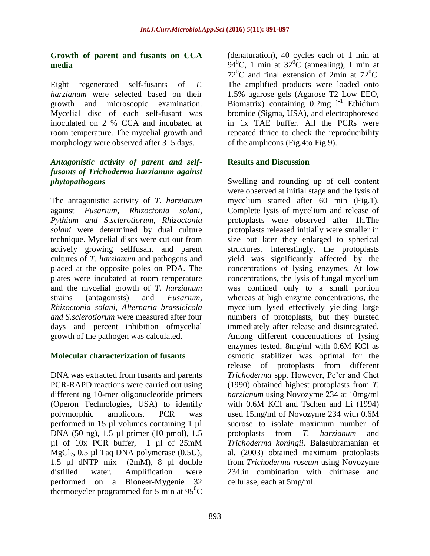#### **Growth of parent and fusants on CCA media**

Eight regenerated self-fusants of *T. harzianum* were selected based on their growth and microscopic examination. Mycelial disc of each self-fusant was inoculated on 2 % CCA and incubated at room temperature. The mycelial growth and morphology were observed after 3–5 days.

### *Antagonistic activity of parent and selffusants of Trichoderma harzianum against phytopathogens*

The antagonistic activity of *T. harzianum* against *Fusarium, Rhizoctonia solani, Pythium and S.sclerotiorum, Rhizoctonia solani* were determined by dual culture technique. Mycelial discs were cut out from actively growing selffusant and parent cultures of *T. harzianum* and pathogens and placed at the opposite poles on PDA. The plates were incubated at room temperature and the mycelial growth of *T. harzianum* strains (antagonists) and *Fusarium, Rhizoctonia solani, Alternaria brassicicola and S.sclerotiorum* were measured after four days and percent inhibition ofmycelial growth of the pathogen was calculated.

## **Molecular characterization of fusants**

DNA was extracted from fusants and parents PCR-RAPD reactions were carried out using different ng 10-mer oligonucleotide primers (Operon Technologies, USA) to identify polymorphic amplicons. PCR was performed in 15 µl volumes containing 1 µl DNA (50 ng), 1.5 µl primer (10 pmol), 1.5 µl of 10x PCR buffer, 1 µl of 25mM MgCl<sub>2</sub>,  $0.5$  µl Taq DNA polymerase  $(0.5U)$ , 1.5 µl dNTP mix (2mM), 8 µl double distilled water. Amplification were performed on a Bioneer-Mygenie 32 thermocycler programmed for 5 min at  $95^{\circ}$ C

(denaturation), 40 cycles each of 1 min at 94<sup>0</sup>C, 1 min at 32<sup>0</sup>C (annealing), 1 min at  $72^{\circ}$ C and final extension of 2min at  $72^{\circ}$ C. The amplified products were loaded onto 1.5% agarose gels (Agarose T2 Low EEO, Biomatrix) containing  $0.2$ mg  $1^{-1}$  Ethidium bromide (Sigma, USA), and electrophoresed in 1x TAE buffer. All the PCRs were repeated thrice to check the reproducibility of the amplicons (Fig.4to Fig.9).

## **Results and Discussion**

Swelling and rounding up of cell content were observed at initial stage and the lysis of mycelium started after 60 min (Fig.1). Complete lysis of mycelium and release of protoplasts were observed after 1h.The protoplasts released initially were smaller in size but later they enlarged to spherical structures. Interestingly, the protoplasts yield was significantly affected by the concentrations of lysing enzymes. At low concentrations, the lysis of fungal mycelium was confined only to a small portion whereas at high enzyme concentrations, the mycelium lysed effectively yielding large numbers of protoplasts, but they bursted immediately after release and disintegrated. Among different concentrations of lysing enzymes tested, 8mg/ml with 0.6M KCl as osmotic stabilizer was optimal for the release of protoplasts from different *Trichoderma* spp. However, Pe'er and Chet (1990) obtained highest protoplasts from *T. harzianum* using Novozyme 234 at 10mg/ml with 0.6M KCl and Tschen and Li (1994) used 15mg/ml of Novozyme 234 with 0.6M sucrose to isolate maximum number of protoplasts from *T. harzianum* and *Trichoderma koningii*. Balasubramanian et al. (2003) obtained maximum protoplasts from *Trichoderma roseum* using Novozyme 234.in combination with chitinase and cellulase, each at 5mg/ml.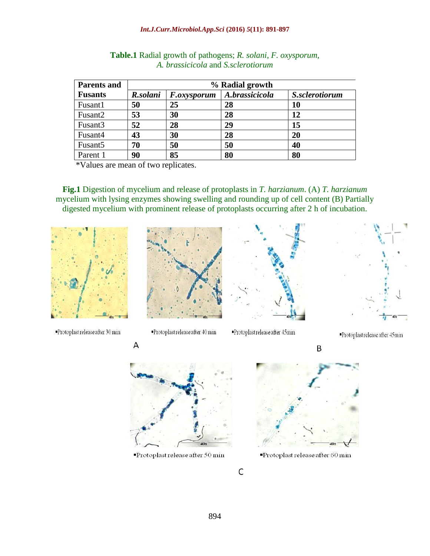#### *Int.J.Curr.Microbiol.App.Sci* **(2016)** *5***(11): 891-897**

| <b>Parents and</b>  | % Radial growth |                    |                |                |
|---------------------|-----------------|--------------------|----------------|----------------|
| <b>Fusants</b>      | R.solani        | <i>F.oxysporum</i> | A.brassicicola | S.sclerotiorum |
| Fusant1             | 50              | 25                 | 28             | 10             |
| Fusant2             | 53              | 30                 | 28             | 12             |
| Fusant3             | 52              | 28                 | 29             | 15             |
| Fusant4             | 43              | 30                 | 28             | 20             |
| Fusant <sub>5</sub> | 70              | 50                 | 50             | 40             |
| Parent 1            | 90              | 85                 | 80             | 80             |

| <b>Table.1</b> Radial growth of pathogens; R. solani, F. oxysporum, |
|---------------------------------------------------------------------|
| A. brassicicola and S. sclerotiorum                                 |

\*Values are mean of two replicates.

Α

**Fig.1** Digestion of mycelium and release of protoplasts in *T. harzianum*. (A) *T. harzianum* mycelium with lysing enzymes showing swelling and rounding up of cell content (B) Partially digested mycelium with prominent release of protoplasts occurring after 2 h of incubation.



Protoplast release after 30 min







Protoplast release after 40 min

Protoplast release after 45min

Protoplast release after 45min

B



Protoplast release after 50 min



Protoplast release after 60 min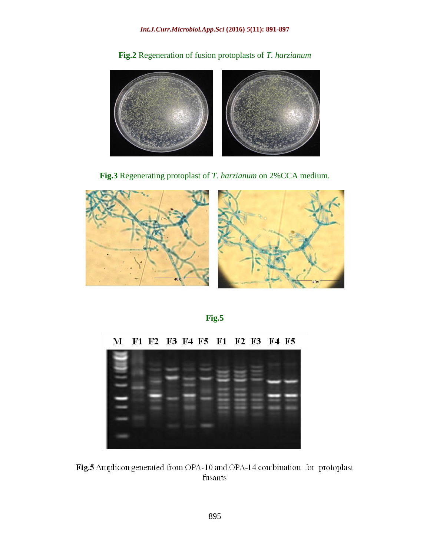**Fig.2** Regeneration of fusion protoplasts of *T. harzianum*



**Fig.3** Regenerating protoplast of *T. harzianum* on 2%CCA medium.



**Fig.5**



Fig.5 Amplicon generated from OPA-10 and OPA-14 combination for protoplast fusants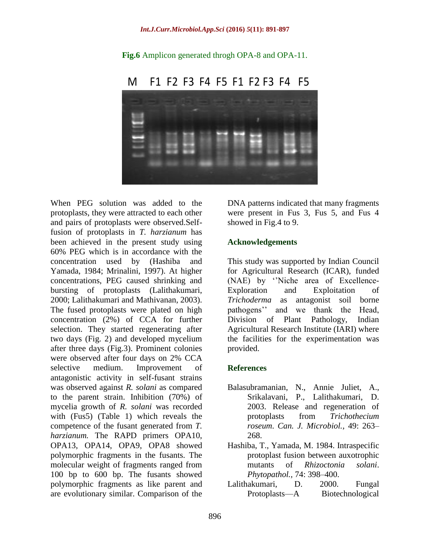

**Fig.6** Amplicon generated throgh OPA-8 and OPA-11.

When PEG solution was added to the protoplasts, they were attracted to each other and pairs of protoplasts were observed.Selffusion of protoplasts in *T. harzianum* has been achieved in the present study using 60% PEG which is in accordance with the concentration used by (Hashiba and Yamada, 1984; Mrinalini, 1997). At higher concentrations, PEG caused shrinking and bursting of protoplasts (Lalithakumari, 2000; Lalithakumari and Mathivanan, 2003). The fused protoplasts were plated on high concentration (2%) of CCA for further selection. They started regenerating after two days (Fig. 2) and developed mycelium after three days (Fig.3). Prominent colonies were observed after four days on 2% CCA selective medium. Improvement of antagonistic activity in self-fusant strains was observed against *R. solani* as compared to the parent strain. Inhibition (70%) of mycelia growth of *R. solani* was recorded with (Fus5) (Table 1) which reveals the competence of the fusant generated from *T. harzianum.* The RAPD primers OPA10, OPA13, OPA14, OPA9, OPA8 showed polymorphic fragments in the fusants. The molecular weight of fragments ranged from 100 bp to 600 bp. The fusants showed polymorphic fragments as like parent and are evolutionary similar. Comparison of the

DNA patterns indicated that many fragments were present in Fus 3, Fus 5, and Fus 4 showed in Fig.4 to 9.

#### **Acknowledgements**

This study was supported by Indian Council for Agricultural Research (ICAR), funded (NAE) by ''Niche area of Excellence-Exploration and Exploitation of *Trichoderma* as antagonist soil borne pathogens'' and we thank the Head, Division of Plant Pathology, Indian Agricultural Research Institute (IARI) where the facilities for the experimentation was provided.

#### **References**

- Balasubramanian, N., Annie Juliet, A., Srikalavani, P., Lalithakumari, D. 2003. Release and regeneration of protoplasts from *Trichothecium roseum*. *Can. J. Microbiol.,* 49: 263– 268.
- Hashiba, T., Yamada, M. 1984. Intraspecific protoplast fusion between auxotrophic mutants of *Rhizoctonia solani*. *Phytopathol.,* 74: 398–400.
- Lalithakumari, D. 2000. Fungal Protoplasts—A Biotechnological